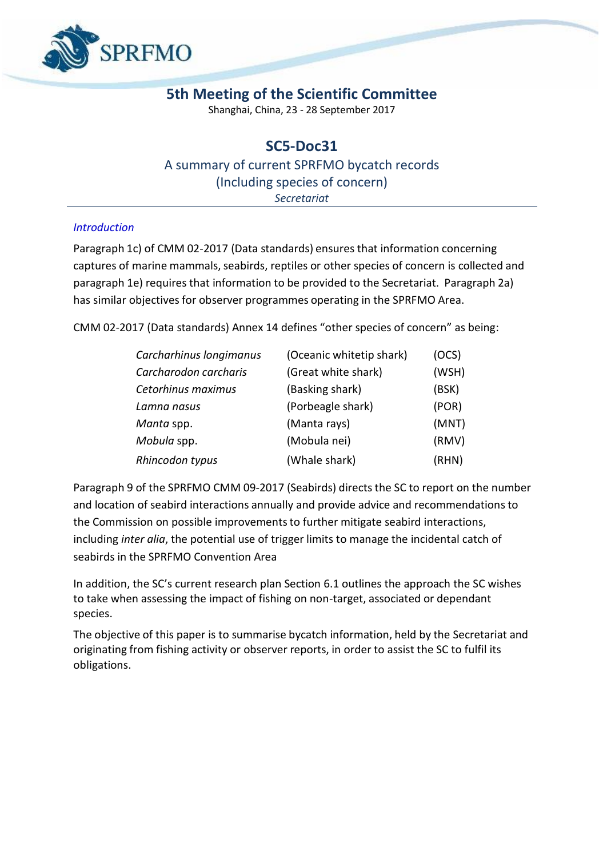

## **5th Meeting of the Scientific Committee**

Shanghai, China, 23 - 28 September 2017

## **SC5-Doc31** A summary of current SPRFMO bycatch records (Including species of concern) *Secretariat*

## *Introduction*

Paragraph 1c) of CMM 02-2017 (Data standards) ensures that information concerning captures of marine mammals, seabirds, reptiles or other species of concern is collected and paragraph 1e) requires that information to be provided to the Secretariat. Paragraph 2a) has similar objectives for observer programmes operating in the SPRFMO Area.

CMM 02-2017 (Data standards) Annex 14 defines "other species of concern" as being:

| Carcharhinus longimanus | (Oceanic whitetip shark) | (OCS) |
|-------------------------|--------------------------|-------|
| Carcharodon carcharis   | (Great white shark)      | (WSH) |
| Cetorhinus maximus      | (Basking shark)          | (BSK) |
| Lamna nasus             | (Porbeagle shark)        | (POR) |
| Manta spp.              | (Manta rays)             | (MNT) |
| Mobula spp.             | (Mobula nei)             | (RMV) |
| Rhincodon typus         | (Whale shark)            | (RHN) |

Paragraph 9 of the SPRFMO CMM 09-2017 (Seabirds) directs the SC to report on the number and location of seabird interactions annually and provide advice and recommendations to the Commission on possible improvementsto further mitigate seabird interactions, including *inter alia*, the potential use of trigger limits to manage the incidental catch of seabirds in the SPRFMO Convention Area

In addition, the SC's current research plan Section 6.1 outlines the approach the SC wishes to take when assessing the impact of fishing on non-target, associated or dependant species.

The objective of this paper is to summarise bycatch information, held by the Secretariat and originating from fishing activity or observer reports, in order to assist the SC to fulfil its obligations.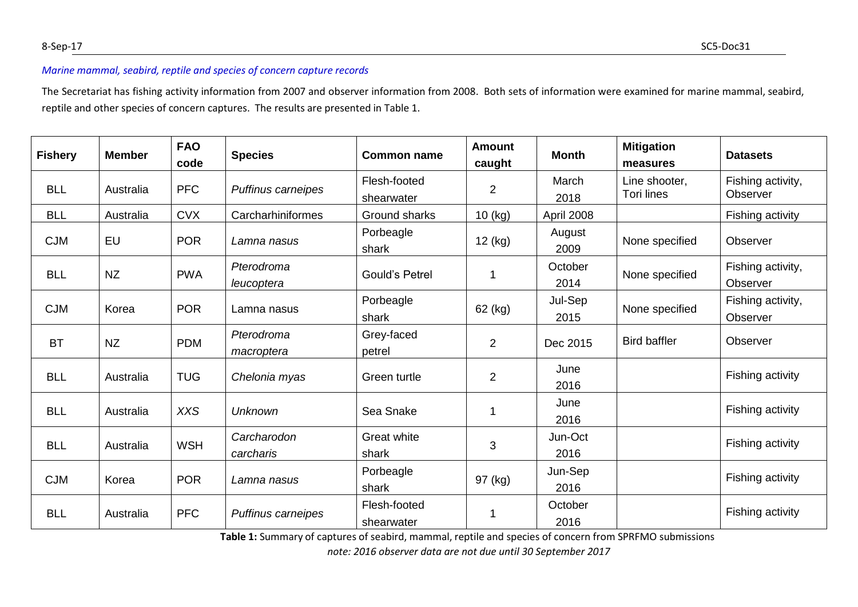## *Marine mammal, seabird, reptile and species of concern capture records*

The Secretariat has fishing activity information from 2007 and observer information from 2008. Both sets of information were examined for marine mammal, seabird, reptile and other species of concern captures. The results are presented in Table 1.

| <b>Fishery</b> | <b>Member</b> | <b>FAO</b><br>code | <b>Species</b>           | <b>Common name</b>         | <b>Amount</b><br>caught | <b>Month</b>    | <b>Mitigation</b><br>measures | <b>Datasets</b>               |
|----------------|---------------|--------------------|--------------------------|----------------------------|-------------------------|-----------------|-------------------------------|-------------------------------|
| <b>BLL</b>     | Australia     | <b>PFC</b>         | Puffinus carneipes       | Flesh-footed<br>shearwater | $\overline{2}$          | March<br>2018   | Line shooter,<br>Tori lines   | Fishing activity,<br>Observer |
| <b>BLL</b>     | Australia     | <b>CVX</b>         | Carcharhiniformes        | Ground sharks              | 10 (kg)                 | April 2008      |                               | Fishing activity              |
| <b>CJM</b>     | EU            | <b>POR</b>         | Lamna nasus              | Porbeagle<br>shark         | 12 (kg)                 | August<br>2009  | None specified                | Observer                      |
| <b>BLL</b>     | <b>NZ</b>     | <b>PWA</b>         | Pterodroma<br>leucoptera | <b>Gould's Petrel</b>      | 1                       | October<br>2014 | None specified                | Fishing activity,<br>Observer |
| <b>CJM</b>     | Korea         | <b>POR</b>         | Lamna nasus              | Porbeagle<br>shark         | 62 (kg)                 | Jul-Sep<br>2015 | None specified                | Fishing activity,<br>Observer |
| <b>BT</b>      | <b>NZ</b>     | <b>PDM</b>         | Pterodroma<br>macroptera | Grey-faced<br>petrel       | $\overline{2}$          | Dec 2015        | <b>Bird baffler</b>           | Observer                      |
| <b>BLL</b>     | Australia     | <b>TUG</b>         | Chelonia myas            | Green turtle               | $\overline{2}$          | June<br>2016    |                               | Fishing activity              |
| <b>BLL</b>     | Australia     | <b>XXS</b>         | Unknown                  | Sea Snake                  |                         | June<br>2016    |                               | Fishing activity              |
| <b>BLL</b>     | Australia     | <b>WSH</b>         | Carcharodon<br>carcharis | Great white<br>shark       | 3                       | Jun-Oct<br>2016 |                               | Fishing activity              |
| <b>CJM</b>     | Korea         | <b>POR</b>         | Lamna nasus              | Porbeagle<br>shark         | 97 (kg)                 | Jun-Sep<br>2016 |                               | Fishing activity              |
| <b>BLL</b>     | Australia     | <b>PFC</b>         | Puffinus carneipes       | Flesh-footed<br>shearwater |                         | October<br>2016 |                               | Fishing activity              |

**Table 1:** Summary of captures of seabird, mammal, reptile and species of concern from SPRFMO submissions

*note: 2016 observer data are not due until 30 September 2017*